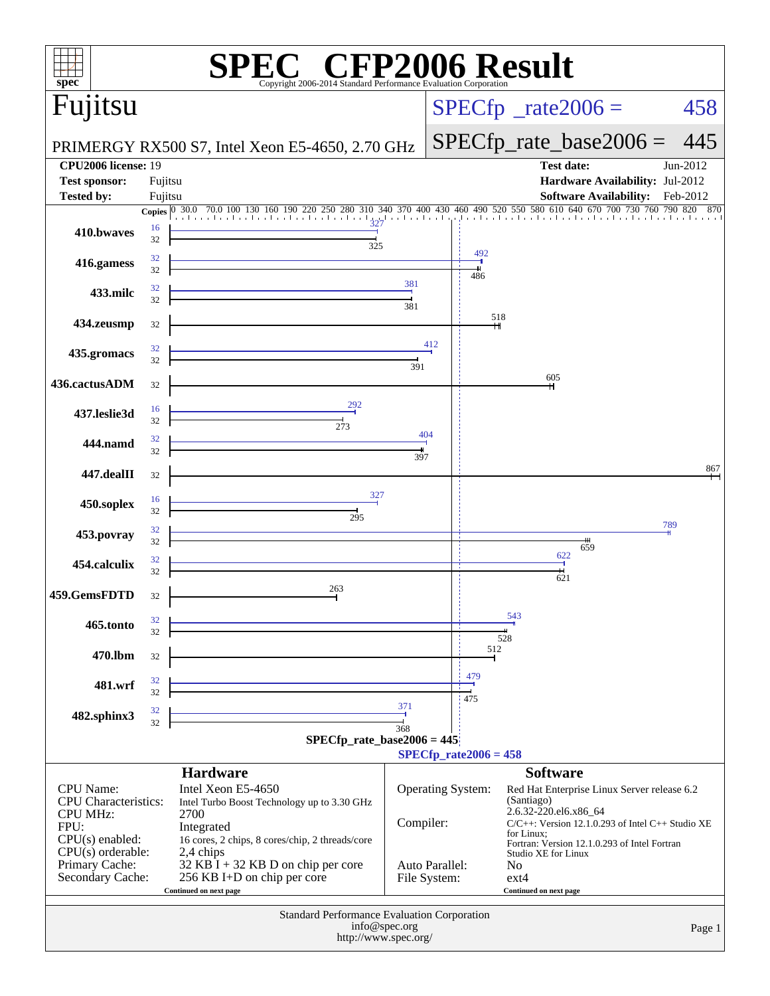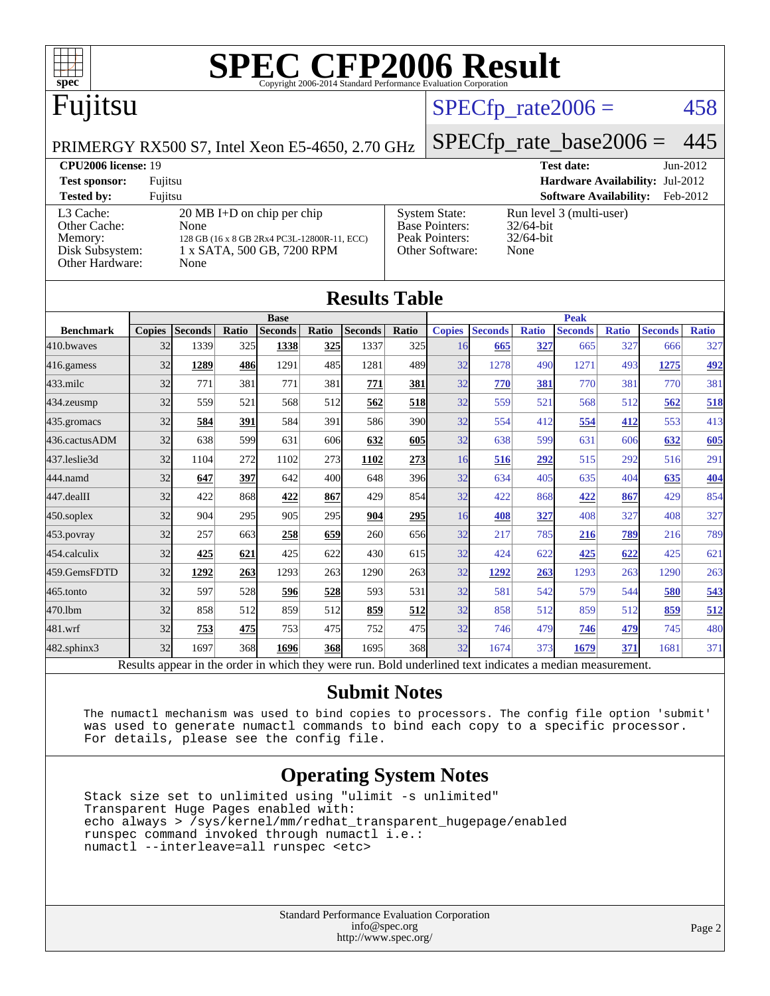

# Fujitsu

## $SPECTp_rate2006 = 458$

#### PRIMERGY RX500 S7, Intel Xeon E5-4650, 2.70 GHz

# [SPECfp\\_rate\\_base2006 =](http://www.spec.org/auto/cpu2006/Docs/result-fields.html#SPECfpratebase2006) 445

| <b>CPU2006 license: 19</b>                                                 |                                                                                                                                   | <b>Test date:</b><br>$Jun-2012$                                                    |                                                                  |
|----------------------------------------------------------------------------|-----------------------------------------------------------------------------------------------------------------------------------|------------------------------------------------------------------------------------|------------------------------------------------------------------|
| <b>Test sponsor:</b>                                                       | Fujitsu                                                                                                                           |                                                                                    | <b>Hardware Availability: Jul-2012</b>                           |
| <b>Tested by:</b>                                                          | Fuiitsu                                                                                                                           |                                                                                    | <b>Software Availability:</b><br>Feb-2012                        |
| L3 Cache:<br>Other Cache:<br>Memory:<br>Disk Subsystem:<br>Other Hardware: | $20 \text{ MB I+D}$ on chip per chip<br>None<br>128 GB (16 x 8 GB 2Rx4 PC3L-12800R-11, ECC)<br>1 x SATA, 500 GB, 7200 RPM<br>None | <b>System State:</b><br><b>Base Pointers:</b><br>Peak Pointers:<br>Other Software: | Run level 3 (multi-user)<br>$32/64$ -bit<br>$32/64$ -bit<br>None |

| <b>Results Table</b> |               |                |       |                                                                                                          |            |                |            |               |                |              |                |              |                |              |
|----------------------|---------------|----------------|-------|----------------------------------------------------------------------------------------------------------|------------|----------------|------------|---------------|----------------|--------------|----------------|--------------|----------------|--------------|
|                      | <b>Base</b>   |                |       |                                                                                                          |            | <b>Peak</b>    |            |               |                |              |                |              |                |              |
| <b>Benchmark</b>     | <b>Copies</b> | <b>Seconds</b> | Ratio | <b>Seconds</b>                                                                                           | Ratio      | <b>Seconds</b> | Ratio      | <b>Copies</b> | <b>Seconds</b> | <b>Ratio</b> | <b>Seconds</b> | <b>Ratio</b> | <b>Seconds</b> | <b>Ratio</b> |
| 410.bwayes           | 32            | 1339           | 325   | 1338                                                                                                     | 325        | 1337           | 325        | 16            | 665            | 327          | 665            | 327          | 666            | 327          |
| 416.gamess           | 32            | 1289           | 486   | 1291                                                                                                     | 485        | 1281           | 489        | 32            | 1278           | 490          | 1271           | 493          | 1275           | 492          |
| $433$ .milc          | 32            | 771            | 381   | 771                                                                                                      | 381        | 771            | 381        | 32            | 770            | 381          | 770            | 381          | 770            | 381          |
| 434.zeusmp           | 32            | 559            | 521   | 568                                                                                                      | 512        | 562            | <b>518</b> | 32            | 559            | 521          | 568            | 512          | 562            | 518          |
| 435.gromacs          | 32            | 584            | 391   | 584                                                                                                      | 391        | 586            | 390l       | 32            | 554            | 412          | 554            | 412          | 553            | 413          |
| 436.cactusADM        | 32            | 638            | 599   | 631                                                                                                      | 606        | 632            | 605        | 32            | 638            | 599          | 631            | 606          | 632            | 605          |
| 437.leslie3d         | 32            | 1104           | 272   | 1102                                                                                                     | 273        | 1102           | 273        | 16            | 516            | 292          | 515            | 292          | 516            | 291          |
| 444.namd             | 32            | 647            | 397   | 642                                                                                                      | 400        | 648            | 396        | 32            | 634            | 405          | 635            | 404          | 635            | 404          |
| 447.dealII           | 32            | 422            | 868   | 422                                                                                                      | 867        | 429            | 854        | 32            | 422            | 868          | 422            | 867          | 429            | 854          |
| $450$ .soplex        | 32            | 904            | 295   | 905                                                                                                      | 295        | 904            | <b>295</b> | 16            | 408            | 327          | 408            | 327          | 408            | 327          |
| $453$ .povray        | 32            | 257            | 663   | 258                                                                                                      | 659        | 260            | 656        | 32            | 217            | 785          | 216            | 789          | 216            | 789          |
| 454.calculix         | 32            | 425            | 621   | 425                                                                                                      | 622        | 430            | 615        | 32            | 424            | 622          | 425            | 622          | 425            | 621          |
| 459.GemsFDTD         | 32            | 1292           | 263   | 1293                                                                                                     | 263        | 1290           | 263        | 32            | 1292           | 263          | 1293           | 263          | 1290           | 263          |
| 465.tonto            | 32            | 597            | 528   | 596                                                                                                      | 528        | 593            | 531        | 32            | 581            | 542          | 579            | 544          | 580            | 543          |
| 470.lbm              | 32            | 858            | 512   | 859                                                                                                      | 512        | 859            | 512        | 32            | 858            | 512          | 859            | 512          | 859            | 512          |
| 481.wrf              | 32            | 753            | 475   | 753                                                                                                      | 475        | 752            | 475        | 32            | 746            | 479          | 746            | 479          | 745            | 480          |
| $482$ .sphinx $3$    | 32            | 1697           | 368   | 1696                                                                                                     | <b>368</b> | 1695           | 368        | 32            | 1674           | 373          | 1679           | 371          | 1681           | 371          |
|                      |               |                |       | Results appear in the order in which they were run. Bold underlined text indicates a median measurement. |            |                |            |               |                |              |                |              |                |              |

#### **[Submit Notes](http://www.spec.org/auto/cpu2006/Docs/result-fields.html#SubmitNotes)**

 The numactl mechanism was used to bind copies to processors. The config file option 'submit' was used to generate numactl commands to bind each copy to a specific processor. For details, please see the config file.

### **[Operating System Notes](http://www.spec.org/auto/cpu2006/Docs/result-fields.html#OperatingSystemNotes)**

 Stack size set to unlimited using "ulimit -s unlimited" Transparent Huge Pages enabled with: echo always > /sys/kernel/mm/redhat\_transparent\_hugepage/enabled runspec command invoked through numactl i.e.: numactl --interleave=all runspec <etc>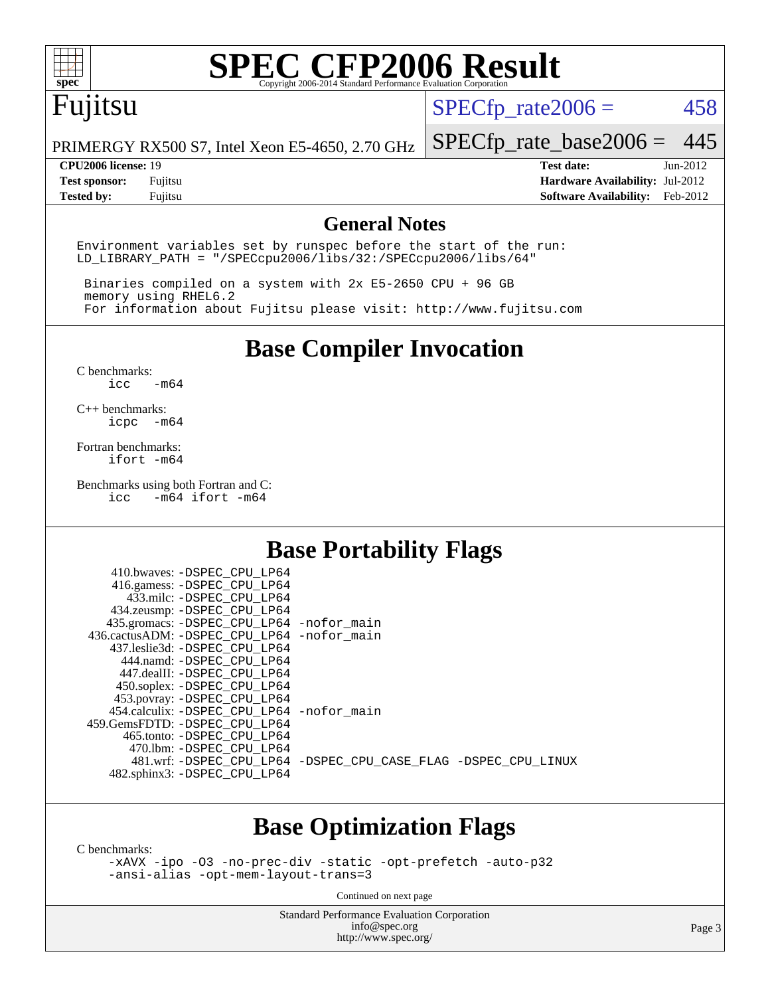

# Fujitsu

 $SPECTp\_rate2006 = 458$ 

PRIMERGY RX500 S7, Intel Xeon E5-4650, 2.70 GHz

[SPECfp\\_rate\\_base2006 =](http://www.spec.org/auto/cpu2006/Docs/result-fields.html#SPECfpratebase2006) 445

**[CPU2006 license:](http://www.spec.org/auto/cpu2006/Docs/result-fields.html#CPU2006license)** 19 **[Test date:](http://www.spec.org/auto/cpu2006/Docs/result-fields.html#Testdate)** Jun-2012 **[Test sponsor:](http://www.spec.org/auto/cpu2006/Docs/result-fields.html#Testsponsor)** Fujitsu **[Hardware Availability:](http://www.spec.org/auto/cpu2006/Docs/result-fields.html#HardwareAvailability)** Jul-2012 **[Tested by:](http://www.spec.org/auto/cpu2006/Docs/result-fields.html#Testedby)** Fujitsu **[Software Availability:](http://www.spec.org/auto/cpu2006/Docs/result-fields.html#SoftwareAvailability)** Feb-2012

### **[General Notes](http://www.spec.org/auto/cpu2006/Docs/result-fields.html#GeneralNotes)**

Environment variables set by runspec before the start of the run: LD\_LIBRARY\_PATH = "/SPECcpu2006/libs/32:/SPECcpu2006/libs/64"

 Binaries compiled on a system with 2x E5-2650 CPU + 96 GB memory using RHEL6.2 For information about Fujitsu please visit: <http://www.fujitsu.com>

**[Base Compiler Invocation](http://www.spec.org/auto/cpu2006/Docs/result-fields.html#BaseCompilerInvocation)**

[C benchmarks](http://www.spec.org/auto/cpu2006/Docs/result-fields.html#Cbenchmarks):  $\text{icc}$   $-\text{m64}$ 

[C++ benchmarks:](http://www.spec.org/auto/cpu2006/Docs/result-fields.html#CXXbenchmarks) [icpc -m64](http://www.spec.org/cpu2006/results/res2012q3/cpu2006-20120730-23888.flags.html#user_CXXbase_intel_icpc_64bit_bedb90c1146cab66620883ef4f41a67e)

[Fortran benchmarks](http://www.spec.org/auto/cpu2006/Docs/result-fields.html#Fortranbenchmarks): [ifort -m64](http://www.spec.org/cpu2006/results/res2012q3/cpu2006-20120730-23888.flags.html#user_FCbase_intel_ifort_64bit_ee9d0fb25645d0210d97eb0527dcc06e)

[Benchmarks using both Fortran and C](http://www.spec.org/auto/cpu2006/Docs/result-fields.html#BenchmarksusingbothFortranandC):<br>icc -m64 ifort -m64  $-m64$  ifort  $-m64$ 

### **[Base Portability Flags](http://www.spec.org/auto/cpu2006/Docs/result-fields.html#BasePortabilityFlags)**

| 410.bwaves: -DSPEC CPU LP64                  |                                                                |
|----------------------------------------------|----------------------------------------------------------------|
| 416.gamess: -DSPEC_CPU_LP64                  |                                                                |
| 433.milc: -DSPEC CPU LP64                    |                                                                |
| 434.zeusmp: - DSPEC_CPU_LP64                 |                                                                |
| 435.gromacs: -DSPEC_CPU_LP64 -nofor_main     |                                                                |
| 436.cactusADM: - DSPEC CPU LP64 - nofor main |                                                                |
| 437.leslie3d: -DSPEC CPU LP64                |                                                                |
| 444.namd: -DSPEC CPU LP64                    |                                                                |
| 447.dealII: -DSPEC CPU LP64                  |                                                                |
| 450.soplex: -DSPEC_CPU_LP64                  |                                                                |
| 453.povray: -DSPEC_CPU_LP64                  |                                                                |
| 454.calculix: - DSPEC CPU LP64 - nofor main  |                                                                |
| 459.GemsFDTD: -DSPEC CPU LP64                |                                                                |
| 465.tonto: -DSPEC CPU LP64                   |                                                                |
| 470.1bm: - DSPEC CPU LP64                    |                                                                |
|                                              | 481.wrf: -DSPEC CPU_LP64 -DSPEC_CPU_CASE_FLAG -DSPEC_CPU_LINUX |
| 482.sphinx3: -DSPEC_CPU_LP64                 |                                                                |
|                                              |                                                                |

## **[Base Optimization Flags](http://www.spec.org/auto/cpu2006/Docs/result-fields.html#BaseOptimizationFlags)**

[C benchmarks](http://www.spec.org/auto/cpu2006/Docs/result-fields.html#Cbenchmarks):

[-xAVX](http://www.spec.org/cpu2006/results/res2012q3/cpu2006-20120730-23888.flags.html#user_CCbase_f-xAVX) [-ipo](http://www.spec.org/cpu2006/results/res2012q3/cpu2006-20120730-23888.flags.html#user_CCbase_f-ipo) [-O3](http://www.spec.org/cpu2006/results/res2012q3/cpu2006-20120730-23888.flags.html#user_CCbase_f-O3) [-no-prec-div](http://www.spec.org/cpu2006/results/res2012q3/cpu2006-20120730-23888.flags.html#user_CCbase_f-no-prec-div) [-static](http://www.spec.org/cpu2006/results/res2012q3/cpu2006-20120730-23888.flags.html#user_CCbase_f-static) [-opt-prefetch](http://www.spec.org/cpu2006/results/res2012q3/cpu2006-20120730-23888.flags.html#user_CCbase_f-opt-prefetch) [-auto-p32](http://www.spec.org/cpu2006/results/res2012q3/cpu2006-20120730-23888.flags.html#user_CCbase_f-auto-p32) [-ansi-alias](http://www.spec.org/cpu2006/results/res2012q3/cpu2006-20120730-23888.flags.html#user_CCbase_f-ansi-alias) [-opt-mem-layout-trans=3](http://www.spec.org/cpu2006/results/res2012q3/cpu2006-20120730-23888.flags.html#user_CCbase_f-opt-mem-layout-trans_a7b82ad4bd7abf52556d4961a2ae94d5)

Continued on next page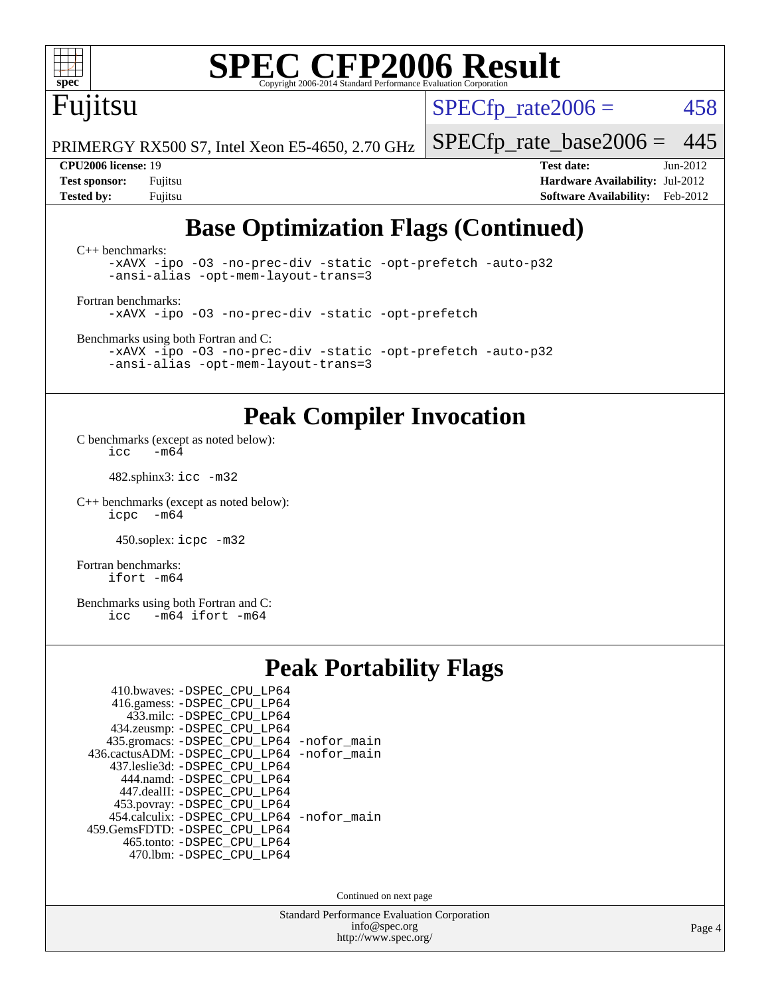# Fujitsu

 $SPECTp\_rate2006 = 458$ 

PRIMERGY RX500 S7, Intel Xeon E5-4650, 2.70 GHz

#### **[CPU2006 license:](http://www.spec.org/auto/cpu2006/Docs/result-fields.html#CPU2006license)** 19 **[Test date:](http://www.spec.org/auto/cpu2006/Docs/result-fields.html#Testdate)** Jun-2012

[SPECfp\\_rate\\_base2006 =](http://www.spec.org/auto/cpu2006/Docs/result-fields.html#SPECfpratebase2006) 445

**[Test sponsor:](http://www.spec.org/auto/cpu2006/Docs/result-fields.html#Testsponsor)** Fujitsu **[Hardware Availability:](http://www.spec.org/auto/cpu2006/Docs/result-fields.html#HardwareAvailability)** Jul-2012 **[Tested by:](http://www.spec.org/auto/cpu2006/Docs/result-fields.html#Testedby)** Fujitsu **[Software Availability:](http://www.spec.org/auto/cpu2006/Docs/result-fields.html#SoftwareAvailability)** Feb-2012

# **[Base Optimization Flags \(Continued\)](http://www.spec.org/auto/cpu2006/Docs/result-fields.html#BaseOptimizationFlags)**

[C++ benchmarks:](http://www.spec.org/auto/cpu2006/Docs/result-fields.html#CXXbenchmarks) [-xAVX](http://www.spec.org/cpu2006/results/res2012q3/cpu2006-20120730-23888.flags.html#user_CXXbase_f-xAVX) [-ipo](http://www.spec.org/cpu2006/results/res2012q3/cpu2006-20120730-23888.flags.html#user_CXXbase_f-ipo) [-O3](http://www.spec.org/cpu2006/results/res2012q3/cpu2006-20120730-23888.flags.html#user_CXXbase_f-O3) [-no-prec-div](http://www.spec.org/cpu2006/results/res2012q3/cpu2006-20120730-23888.flags.html#user_CXXbase_f-no-prec-div) [-static](http://www.spec.org/cpu2006/results/res2012q3/cpu2006-20120730-23888.flags.html#user_CXXbase_f-static) [-opt-prefetch](http://www.spec.org/cpu2006/results/res2012q3/cpu2006-20120730-23888.flags.html#user_CXXbase_f-opt-prefetch) [-auto-p32](http://www.spec.org/cpu2006/results/res2012q3/cpu2006-20120730-23888.flags.html#user_CXXbase_f-auto-p32) [-ansi-alias](http://www.spec.org/cpu2006/results/res2012q3/cpu2006-20120730-23888.flags.html#user_CXXbase_f-ansi-alias) [-opt-mem-layout-trans=3](http://www.spec.org/cpu2006/results/res2012q3/cpu2006-20120730-23888.flags.html#user_CXXbase_f-opt-mem-layout-trans_a7b82ad4bd7abf52556d4961a2ae94d5) [Fortran benchmarks](http://www.spec.org/auto/cpu2006/Docs/result-fields.html#Fortranbenchmarks):

[-xAVX](http://www.spec.org/cpu2006/results/res2012q3/cpu2006-20120730-23888.flags.html#user_FCbase_f-xAVX) [-ipo](http://www.spec.org/cpu2006/results/res2012q3/cpu2006-20120730-23888.flags.html#user_FCbase_f-ipo) [-O3](http://www.spec.org/cpu2006/results/res2012q3/cpu2006-20120730-23888.flags.html#user_FCbase_f-O3) [-no-prec-div](http://www.spec.org/cpu2006/results/res2012q3/cpu2006-20120730-23888.flags.html#user_FCbase_f-no-prec-div) [-static](http://www.spec.org/cpu2006/results/res2012q3/cpu2006-20120730-23888.flags.html#user_FCbase_f-static) [-opt-prefetch](http://www.spec.org/cpu2006/results/res2012q3/cpu2006-20120730-23888.flags.html#user_FCbase_f-opt-prefetch)

[Benchmarks using both Fortran and C](http://www.spec.org/auto/cpu2006/Docs/result-fields.html#BenchmarksusingbothFortranandC):

[-xAVX](http://www.spec.org/cpu2006/results/res2012q3/cpu2006-20120730-23888.flags.html#user_CC_FCbase_f-xAVX) [-ipo](http://www.spec.org/cpu2006/results/res2012q3/cpu2006-20120730-23888.flags.html#user_CC_FCbase_f-ipo) [-O3](http://www.spec.org/cpu2006/results/res2012q3/cpu2006-20120730-23888.flags.html#user_CC_FCbase_f-O3) [-no-prec-div](http://www.spec.org/cpu2006/results/res2012q3/cpu2006-20120730-23888.flags.html#user_CC_FCbase_f-no-prec-div) [-static](http://www.spec.org/cpu2006/results/res2012q3/cpu2006-20120730-23888.flags.html#user_CC_FCbase_f-static) [-opt-prefetch](http://www.spec.org/cpu2006/results/res2012q3/cpu2006-20120730-23888.flags.html#user_CC_FCbase_f-opt-prefetch) [-auto-p32](http://www.spec.org/cpu2006/results/res2012q3/cpu2006-20120730-23888.flags.html#user_CC_FCbase_f-auto-p32) [-ansi-alias](http://www.spec.org/cpu2006/results/res2012q3/cpu2006-20120730-23888.flags.html#user_CC_FCbase_f-ansi-alias) [-opt-mem-layout-trans=3](http://www.spec.org/cpu2006/results/res2012q3/cpu2006-20120730-23888.flags.html#user_CC_FCbase_f-opt-mem-layout-trans_a7b82ad4bd7abf52556d4961a2ae94d5)

## **[Peak Compiler Invocation](http://www.spec.org/auto/cpu2006/Docs/result-fields.html#PeakCompilerInvocation)**

[C benchmarks \(except as noted below\)](http://www.spec.org/auto/cpu2006/Docs/result-fields.html#Cbenchmarksexceptasnotedbelow): icc  $-m6\overline{4}$ 

482.sphinx3: [icc -m32](http://www.spec.org/cpu2006/results/res2012q3/cpu2006-20120730-23888.flags.html#user_peakCCLD482_sphinx3_intel_icc_a6a621f8d50482236b970c6ac5f55f93)

[C++ benchmarks \(except as noted below\):](http://www.spec.org/auto/cpu2006/Docs/result-fields.html#CXXbenchmarksexceptasnotedbelow) [icpc -m64](http://www.spec.org/cpu2006/results/res2012q3/cpu2006-20120730-23888.flags.html#user_CXXpeak_intel_icpc_64bit_bedb90c1146cab66620883ef4f41a67e)

450.soplex: [icpc -m32](http://www.spec.org/cpu2006/results/res2012q3/cpu2006-20120730-23888.flags.html#user_peakCXXLD450_soplex_intel_icpc_4e5a5ef1a53fd332b3c49e69c3330699)

[Fortran benchmarks](http://www.spec.org/auto/cpu2006/Docs/result-fields.html#Fortranbenchmarks): [ifort -m64](http://www.spec.org/cpu2006/results/res2012q3/cpu2006-20120730-23888.flags.html#user_FCpeak_intel_ifort_64bit_ee9d0fb25645d0210d97eb0527dcc06e)

[Benchmarks using both Fortran and C](http://www.spec.org/auto/cpu2006/Docs/result-fields.html#BenchmarksusingbothFortranandC): [icc -m64](http://www.spec.org/cpu2006/results/res2012q3/cpu2006-20120730-23888.flags.html#user_CC_FCpeak_intel_icc_64bit_0b7121f5ab7cfabee23d88897260401c) [ifort -m64](http://www.spec.org/cpu2006/results/res2012q3/cpu2006-20120730-23888.flags.html#user_CC_FCpeak_intel_ifort_64bit_ee9d0fb25645d0210d97eb0527dcc06e)

### **[Peak Portability Flags](http://www.spec.org/auto/cpu2006/Docs/result-fields.html#PeakPortabilityFlags)**

| 410.bwaves: -DSPEC CPU LP64                 |  |
|---------------------------------------------|--|
| 416.gamess: -DSPEC_CPU_LP64                 |  |
| 433.milc: -DSPEC CPU LP64                   |  |
| 434.zeusmp: -DSPEC_CPU_LP64                 |  |
| 435.gromacs: -DSPEC_CPU_LP64 -nofor_main    |  |
| 436.cactusADM: -DSPEC CPU LP64 -nofor main  |  |
| 437.leslie3d: -DSPEC CPU LP64               |  |
| 444.namd: -DSPEC CPU LP64                   |  |
| 447.dealII: -DSPEC CPU LP64                 |  |
| 453.povray: -DSPEC_CPU_LP64                 |  |
| 454.calculix: - DSPEC CPU LP64 - nofor main |  |
| 459. GemsFDTD: - DSPEC CPU LP64             |  |
| 465.tonto: -DSPEC_CPU LP64                  |  |
| 470.1bm: - DSPEC CPU LP64                   |  |
|                                             |  |

Continued on next page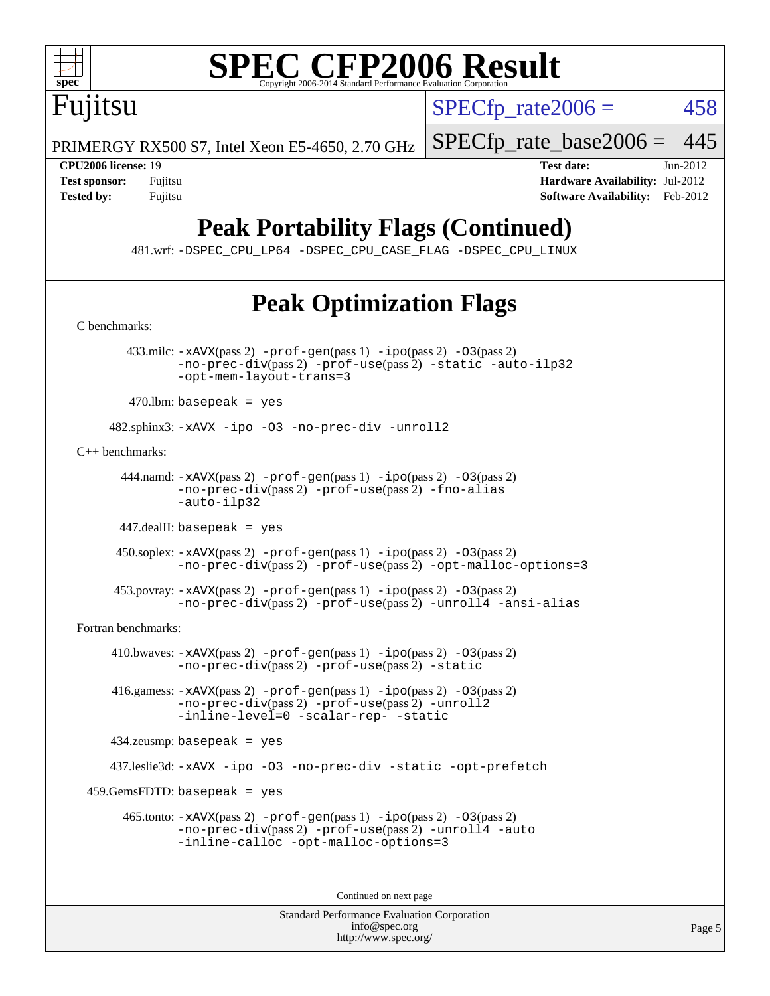

 $SPECTp\_rate2006 = 458$ 

PRIMERGY RX500 S7, Intel Xeon E5-4650, 2.70 GHz

[SPECfp\\_rate\\_base2006 =](http://www.spec.org/auto/cpu2006/Docs/result-fields.html#SPECfpratebase2006) 445

Fujitsu

**[CPU2006 license:](http://www.spec.org/auto/cpu2006/Docs/result-fields.html#CPU2006license)** 19 **[Test date:](http://www.spec.org/auto/cpu2006/Docs/result-fields.html#Testdate)** Jun-2012 **[Test sponsor:](http://www.spec.org/auto/cpu2006/Docs/result-fields.html#Testsponsor)** Fujitsu **[Hardware Availability:](http://www.spec.org/auto/cpu2006/Docs/result-fields.html#HardwareAvailability)** Jul-2012 **[Tested by:](http://www.spec.org/auto/cpu2006/Docs/result-fields.html#Testedby)** Fujitsu **Fugital Example 2012 [Software Availability:](http://www.spec.org/auto/cpu2006/Docs/result-fields.html#SoftwareAvailability)** Feb-2012

# **[Peak Portability Flags \(Continued\)](http://www.spec.org/auto/cpu2006/Docs/result-fields.html#PeakPortabilityFlags)**

481.wrf: [-DSPEC\\_CPU\\_LP64](http://www.spec.org/cpu2006/results/res2012q3/cpu2006-20120730-23888.flags.html#suite_peakPORTABILITY481_wrf_DSPEC_CPU_LP64) [-DSPEC\\_CPU\\_CASE\\_FLAG](http://www.spec.org/cpu2006/results/res2012q3/cpu2006-20120730-23888.flags.html#b481.wrf_peakCPORTABILITY_DSPEC_CPU_CASE_FLAG) [-DSPEC\\_CPU\\_LINUX](http://www.spec.org/cpu2006/results/res2012q3/cpu2006-20120730-23888.flags.html#b481.wrf_peakCPORTABILITY_DSPEC_CPU_LINUX)

# **[Peak Optimization Flags](http://www.spec.org/auto/cpu2006/Docs/result-fields.html#PeakOptimizationFlags)**

[C benchmarks](http://www.spec.org/auto/cpu2006/Docs/result-fields.html#Cbenchmarks):

 433.milc: [-xAVX](http://www.spec.org/cpu2006/results/res2012q3/cpu2006-20120730-23888.flags.html#user_peakPASS2_CFLAGSPASS2_LDFLAGS433_milc_f-xAVX)(pass 2) [-prof-gen](http://www.spec.org/cpu2006/results/res2012q3/cpu2006-20120730-23888.flags.html#user_peakPASS1_CFLAGSPASS1_LDFLAGS433_milc_prof_gen_e43856698f6ca7b7e442dfd80e94a8fc)(pass 1) [-ipo](http://www.spec.org/cpu2006/results/res2012q3/cpu2006-20120730-23888.flags.html#user_peakPASS2_CFLAGSPASS2_LDFLAGS433_milc_f-ipo)(pass 2) [-O3](http://www.spec.org/cpu2006/results/res2012q3/cpu2006-20120730-23888.flags.html#user_peakPASS2_CFLAGSPASS2_LDFLAGS433_milc_f-O3)(pass 2) [-no-prec-div](http://www.spec.org/cpu2006/results/res2012q3/cpu2006-20120730-23888.flags.html#user_peakPASS2_CFLAGSPASS2_LDFLAGS433_milc_f-no-prec-div)(pass 2) [-prof-use](http://www.spec.org/cpu2006/results/res2012q3/cpu2006-20120730-23888.flags.html#user_peakPASS2_CFLAGSPASS2_LDFLAGS433_milc_prof_use_bccf7792157ff70d64e32fe3e1250b55)(pass 2) [-static](http://www.spec.org/cpu2006/results/res2012q3/cpu2006-20120730-23888.flags.html#user_peakOPTIMIZE433_milc_f-static) [-auto-ilp32](http://www.spec.org/cpu2006/results/res2012q3/cpu2006-20120730-23888.flags.html#user_peakCOPTIMIZE433_milc_f-auto-ilp32) [-opt-mem-layout-trans=3](http://www.spec.org/cpu2006/results/res2012q3/cpu2006-20120730-23888.flags.html#user_peakCOPTIMIZE433_milc_f-opt-mem-layout-trans_a7b82ad4bd7abf52556d4961a2ae94d5)

 $470$ .lbm: basepeak = yes

482.sphinx3: [-xAVX](http://www.spec.org/cpu2006/results/res2012q3/cpu2006-20120730-23888.flags.html#user_peakOPTIMIZE482_sphinx3_f-xAVX) [-ipo](http://www.spec.org/cpu2006/results/res2012q3/cpu2006-20120730-23888.flags.html#user_peakOPTIMIZE482_sphinx3_f-ipo) [-O3](http://www.spec.org/cpu2006/results/res2012q3/cpu2006-20120730-23888.flags.html#user_peakOPTIMIZE482_sphinx3_f-O3) [-no-prec-div](http://www.spec.org/cpu2006/results/res2012q3/cpu2006-20120730-23888.flags.html#user_peakOPTIMIZE482_sphinx3_f-no-prec-div) [-unroll2](http://www.spec.org/cpu2006/results/res2012q3/cpu2006-20120730-23888.flags.html#user_peakCOPTIMIZE482_sphinx3_f-unroll_784dae83bebfb236979b41d2422d7ec2)

[C++ benchmarks:](http://www.spec.org/auto/cpu2006/Docs/result-fields.html#CXXbenchmarks)

444.namd:  $-x$ AVX(pass 2)  $-p$ rof-gen(pass 1)  $-p$ po(pass 2)  $-03$ (pass 2) [-no-prec-div](http://www.spec.org/cpu2006/results/res2012q3/cpu2006-20120730-23888.flags.html#user_peakPASS2_CXXFLAGSPASS2_LDFLAGS444_namd_f-no-prec-div)(pass 2) [-prof-use](http://www.spec.org/cpu2006/results/res2012q3/cpu2006-20120730-23888.flags.html#user_peakPASS2_CXXFLAGSPASS2_LDFLAGS444_namd_prof_use_bccf7792157ff70d64e32fe3e1250b55)(pass 2) [-fno-alias](http://www.spec.org/cpu2006/results/res2012q3/cpu2006-20120730-23888.flags.html#user_peakCXXOPTIMIZE444_namd_f-no-alias_694e77f6c5a51e658e82ccff53a9e63a) [-auto-ilp32](http://www.spec.org/cpu2006/results/res2012q3/cpu2006-20120730-23888.flags.html#user_peakCXXOPTIMIZE444_namd_f-auto-ilp32)

447.dealII: basepeak = yes

 450.soplex: [-xAVX](http://www.spec.org/cpu2006/results/res2012q3/cpu2006-20120730-23888.flags.html#user_peakPASS2_CXXFLAGSPASS2_LDFLAGS450_soplex_f-xAVX)(pass 2) [-prof-gen](http://www.spec.org/cpu2006/results/res2012q3/cpu2006-20120730-23888.flags.html#user_peakPASS1_CXXFLAGSPASS1_LDFLAGS450_soplex_prof_gen_e43856698f6ca7b7e442dfd80e94a8fc)(pass 1) [-ipo](http://www.spec.org/cpu2006/results/res2012q3/cpu2006-20120730-23888.flags.html#user_peakPASS2_CXXFLAGSPASS2_LDFLAGS450_soplex_f-ipo)(pass 2) [-O3](http://www.spec.org/cpu2006/results/res2012q3/cpu2006-20120730-23888.flags.html#user_peakPASS2_CXXFLAGSPASS2_LDFLAGS450_soplex_f-O3)(pass 2) [-no-prec-div](http://www.spec.org/cpu2006/results/res2012q3/cpu2006-20120730-23888.flags.html#user_peakPASS2_CXXFLAGSPASS2_LDFLAGS450_soplex_f-no-prec-div)(pass 2) [-prof-use](http://www.spec.org/cpu2006/results/res2012q3/cpu2006-20120730-23888.flags.html#user_peakPASS2_CXXFLAGSPASS2_LDFLAGS450_soplex_prof_use_bccf7792157ff70d64e32fe3e1250b55)(pass 2) [-opt-malloc-options=3](http://www.spec.org/cpu2006/results/res2012q3/cpu2006-20120730-23888.flags.html#user_peakOPTIMIZE450_soplex_f-opt-malloc-options_13ab9b803cf986b4ee62f0a5998c2238)

 453.povray: [-xAVX](http://www.spec.org/cpu2006/results/res2012q3/cpu2006-20120730-23888.flags.html#user_peakPASS2_CXXFLAGSPASS2_LDFLAGS453_povray_f-xAVX)(pass 2) [-prof-gen](http://www.spec.org/cpu2006/results/res2012q3/cpu2006-20120730-23888.flags.html#user_peakPASS1_CXXFLAGSPASS1_LDFLAGS453_povray_prof_gen_e43856698f6ca7b7e442dfd80e94a8fc)(pass 1) [-ipo](http://www.spec.org/cpu2006/results/res2012q3/cpu2006-20120730-23888.flags.html#user_peakPASS2_CXXFLAGSPASS2_LDFLAGS453_povray_f-ipo)(pass 2) [-O3](http://www.spec.org/cpu2006/results/res2012q3/cpu2006-20120730-23888.flags.html#user_peakPASS2_CXXFLAGSPASS2_LDFLAGS453_povray_f-O3)(pass 2) [-no-prec-div](http://www.spec.org/cpu2006/results/res2012q3/cpu2006-20120730-23888.flags.html#user_peakPASS2_CXXFLAGSPASS2_LDFLAGS453_povray_f-no-prec-div)(pass 2) [-prof-use](http://www.spec.org/cpu2006/results/res2012q3/cpu2006-20120730-23888.flags.html#user_peakPASS2_CXXFLAGSPASS2_LDFLAGS453_povray_prof_use_bccf7792157ff70d64e32fe3e1250b55)(pass 2) [-unroll4](http://www.spec.org/cpu2006/results/res2012q3/cpu2006-20120730-23888.flags.html#user_peakCXXOPTIMIZE453_povray_f-unroll_4e5e4ed65b7fd20bdcd365bec371b81f) [-ansi-alias](http://www.spec.org/cpu2006/results/res2012q3/cpu2006-20120730-23888.flags.html#user_peakCXXOPTIMIZE453_povray_f-ansi-alias)

[Fortran benchmarks](http://www.spec.org/auto/cpu2006/Docs/result-fields.html#Fortranbenchmarks):

410.bwaves:  $-xAUX(pass 2)$  -prof-qen(pass 1) [-ipo](http://www.spec.org/cpu2006/results/res2012q3/cpu2006-20120730-23888.flags.html#user_peakPASS2_FFLAGSPASS2_LDFLAGS410_bwaves_f-ipo)(pass 2) [-O3](http://www.spec.org/cpu2006/results/res2012q3/cpu2006-20120730-23888.flags.html#user_peakPASS2_FFLAGSPASS2_LDFLAGS410_bwaves_f-O3)(pass 2) [-no-prec-div](http://www.spec.org/cpu2006/results/res2012q3/cpu2006-20120730-23888.flags.html#user_peakPASS2_FFLAGSPASS2_LDFLAGS410_bwaves_f-no-prec-div)(pass 2) [-prof-use](http://www.spec.org/cpu2006/results/res2012q3/cpu2006-20120730-23888.flags.html#user_peakPASS2_FFLAGSPASS2_LDFLAGS410_bwaves_prof_use_bccf7792157ff70d64e32fe3e1250b55)(pass 2) [-static](http://www.spec.org/cpu2006/results/res2012q3/cpu2006-20120730-23888.flags.html#user_peakOPTIMIZE410_bwaves_f-static)

 416.gamess: [-xAVX](http://www.spec.org/cpu2006/results/res2012q3/cpu2006-20120730-23888.flags.html#user_peakPASS2_FFLAGSPASS2_LDFLAGS416_gamess_f-xAVX)(pass 2) [-prof-gen](http://www.spec.org/cpu2006/results/res2012q3/cpu2006-20120730-23888.flags.html#user_peakPASS1_FFLAGSPASS1_LDFLAGS416_gamess_prof_gen_e43856698f6ca7b7e442dfd80e94a8fc)(pass 1) [-ipo](http://www.spec.org/cpu2006/results/res2012q3/cpu2006-20120730-23888.flags.html#user_peakPASS2_FFLAGSPASS2_LDFLAGS416_gamess_f-ipo)(pass 2) [-O3](http://www.spec.org/cpu2006/results/res2012q3/cpu2006-20120730-23888.flags.html#user_peakPASS2_FFLAGSPASS2_LDFLAGS416_gamess_f-O3)(pass 2) [-no-prec-div](http://www.spec.org/cpu2006/results/res2012q3/cpu2006-20120730-23888.flags.html#user_peakPASS2_FFLAGSPASS2_LDFLAGS416_gamess_f-no-prec-div)(pass 2) [-prof-use](http://www.spec.org/cpu2006/results/res2012q3/cpu2006-20120730-23888.flags.html#user_peakPASS2_FFLAGSPASS2_LDFLAGS416_gamess_prof_use_bccf7792157ff70d64e32fe3e1250b55)(pass 2) [-unroll2](http://www.spec.org/cpu2006/results/res2012q3/cpu2006-20120730-23888.flags.html#user_peakOPTIMIZE416_gamess_f-unroll_784dae83bebfb236979b41d2422d7ec2) [-inline-level=0](http://www.spec.org/cpu2006/results/res2012q3/cpu2006-20120730-23888.flags.html#user_peakOPTIMIZE416_gamess_f-inline-level_318d07a09274ad25e8d15dbfaa68ba50) [-scalar-rep-](http://www.spec.org/cpu2006/results/res2012q3/cpu2006-20120730-23888.flags.html#user_peakOPTIMIZE416_gamess_f-disablescalarrep_abbcad04450fb118e4809c81d83c8a1d) [-static](http://www.spec.org/cpu2006/results/res2012q3/cpu2006-20120730-23888.flags.html#user_peakOPTIMIZE416_gamess_f-static)

434.zeusmp: basepeak = yes

437.leslie3d: [-xAVX](http://www.spec.org/cpu2006/results/res2012q3/cpu2006-20120730-23888.flags.html#user_peakOPTIMIZE437_leslie3d_f-xAVX) [-ipo](http://www.spec.org/cpu2006/results/res2012q3/cpu2006-20120730-23888.flags.html#user_peakOPTIMIZE437_leslie3d_f-ipo) [-O3](http://www.spec.org/cpu2006/results/res2012q3/cpu2006-20120730-23888.flags.html#user_peakOPTIMIZE437_leslie3d_f-O3) [-no-prec-div](http://www.spec.org/cpu2006/results/res2012q3/cpu2006-20120730-23888.flags.html#user_peakOPTIMIZE437_leslie3d_f-no-prec-div) [-static](http://www.spec.org/cpu2006/results/res2012q3/cpu2006-20120730-23888.flags.html#user_peakOPTIMIZE437_leslie3d_f-static) [-opt-prefetch](http://www.spec.org/cpu2006/results/res2012q3/cpu2006-20120730-23888.flags.html#user_peakOPTIMIZE437_leslie3d_f-opt-prefetch)

459.GemsFDTD: basepeak = yes

 465.tonto: [-xAVX](http://www.spec.org/cpu2006/results/res2012q3/cpu2006-20120730-23888.flags.html#user_peakPASS2_FFLAGSPASS2_LDFLAGS465_tonto_f-xAVX)(pass 2) [-prof-gen](http://www.spec.org/cpu2006/results/res2012q3/cpu2006-20120730-23888.flags.html#user_peakPASS1_FFLAGSPASS1_LDFLAGS465_tonto_prof_gen_e43856698f6ca7b7e442dfd80e94a8fc)(pass 1) [-ipo](http://www.spec.org/cpu2006/results/res2012q3/cpu2006-20120730-23888.flags.html#user_peakPASS2_FFLAGSPASS2_LDFLAGS465_tonto_f-ipo)(pass 2) [-O3](http://www.spec.org/cpu2006/results/res2012q3/cpu2006-20120730-23888.flags.html#user_peakPASS2_FFLAGSPASS2_LDFLAGS465_tonto_f-O3)(pass 2) [-no-prec-div](http://www.spec.org/cpu2006/results/res2012q3/cpu2006-20120730-23888.flags.html#user_peakPASS2_FFLAGSPASS2_LDFLAGS465_tonto_f-no-prec-div)(pass 2) [-prof-use](http://www.spec.org/cpu2006/results/res2012q3/cpu2006-20120730-23888.flags.html#user_peakPASS2_FFLAGSPASS2_LDFLAGS465_tonto_prof_use_bccf7792157ff70d64e32fe3e1250b55)(pass 2) [-unroll4](http://www.spec.org/cpu2006/results/res2012q3/cpu2006-20120730-23888.flags.html#user_peakOPTIMIZE465_tonto_f-unroll_4e5e4ed65b7fd20bdcd365bec371b81f) [-auto](http://www.spec.org/cpu2006/results/res2012q3/cpu2006-20120730-23888.flags.html#user_peakOPTIMIZE465_tonto_f-auto) [-inline-calloc](http://www.spec.org/cpu2006/results/res2012q3/cpu2006-20120730-23888.flags.html#user_peakOPTIMIZE465_tonto_f-inline-calloc) [-opt-malloc-options=3](http://www.spec.org/cpu2006/results/res2012q3/cpu2006-20120730-23888.flags.html#user_peakOPTIMIZE465_tonto_f-opt-malloc-options_13ab9b803cf986b4ee62f0a5998c2238)

Continued on next page